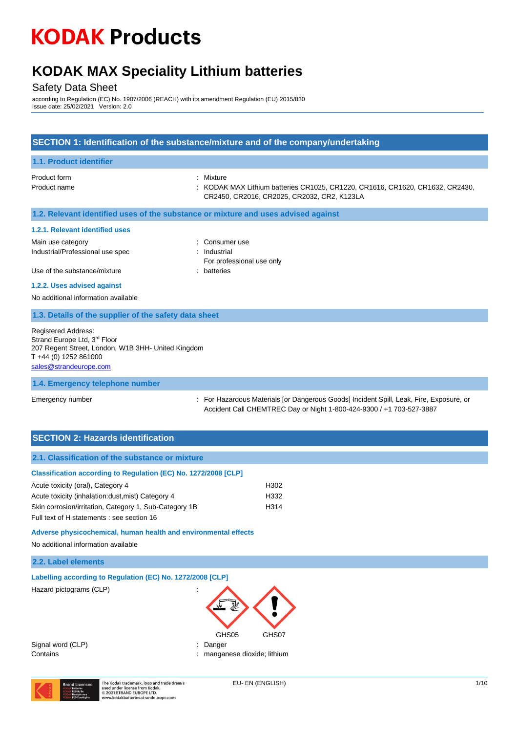## **KODAK MAX Speciality Lithium batteries**

## Safety Data Sheet

according to Regulation (EC) No. 1907/2006 (REACH) with its amendment Regulation (EU) 2015/830 Issue date: 25/02/2021 Version: 2.0

| SECTION 1: Identification of the substance/mixture and of the company/undertaking                                                                                               |                                                                                                                                                                 |  |  |
|---------------------------------------------------------------------------------------------------------------------------------------------------------------------------------|-----------------------------------------------------------------------------------------------------------------------------------------------------------------|--|--|
| 1.1. Product identifier                                                                                                                                                         |                                                                                                                                                                 |  |  |
| Product form<br>Product name                                                                                                                                                    | : Mixture<br>KODAK MAX Lithium batteries CR1025, CR1220, CR1616, CR1620, CR1632, CR2430,<br>CR2450, CR2016, CR2025, CR2032, CR2, K123LA                         |  |  |
| 1.2. Relevant identified uses of the substance or mixture and uses advised against                                                                                              |                                                                                                                                                                 |  |  |
| 1.2.1. Relevant identified uses                                                                                                                                                 |                                                                                                                                                                 |  |  |
| Main use category<br>Industrial/Professional use spec<br>Use of the substance/mixture                                                                                           | : Consumer use<br>: Industrial<br>For professional use only<br>: batteries                                                                                      |  |  |
| 1.2.2. Uses advised against                                                                                                                                                     |                                                                                                                                                                 |  |  |
| No additional information available                                                                                                                                             |                                                                                                                                                                 |  |  |
| 1.3. Details of the supplier of the safety data sheet                                                                                                                           |                                                                                                                                                                 |  |  |
| <b>Registered Address:</b><br>Strand Europe Ltd, 3 <sup>rd</sup> Floor<br>207 Regent Street, London, W1B 3HH- United Kingdom<br>T +44 (0) 1252 861000<br>sales@strandeurope.com |                                                                                                                                                                 |  |  |
| 1.4. Emergency telephone number                                                                                                                                                 |                                                                                                                                                                 |  |  |
| Emergency number                                                                                                                                                                | : For Hazardous Materials [or Dangerous Goods] Incident Spill, Leak, Fire, Exposure, or<br>Accident Call CHEMTREC Day or Night 1-800-424-9300 / +1 703-527-3887 |  |  |

|  | <b>SECTION 2: Hazards identification</b> |
|--|------------------------------------------|
|  |                                          |

| 2.1. Classification of the substance or mixture                 |       |
|-----------------------------------------------------------------|-------|
| Classification according to Regulation (EC) No. 1272/2008 [CLP] |       |
| Acute toxicity (oral), Category 4                               | H302  |
| Acute toxicity (inhalation: dust, mist) Category 4              | H332  |
| Skin corrosion/irritation, Category 1, Sub-Category 1B          | H314  |
| Full text of H statements : see section 16                      |       |
| Adverse physicochemical, human health and environmental effects |       |
| No additional information available                             |       |
| 2.2. Label elements                                             |       |
| Labelling according to Regulation (EC) No. 1272/2008 [CLP]      |       |
| Hazard pictograms (CLP)<br>GHS05                                | GHS07 |

Signal word (CLP) in the state of the Signal word (CLP) in the Signal word of the Signal and Signal and Signal Signal and Signal and Signal and Signal and Signal and Signal and Signal and Signal and Signal and Signal and S

Contains **Contains Contains Contains Contains Contains Contains Contains Contains Contains Contains Contains Contains Contains Contains Contains Contains Contains Contains Contains Con** 

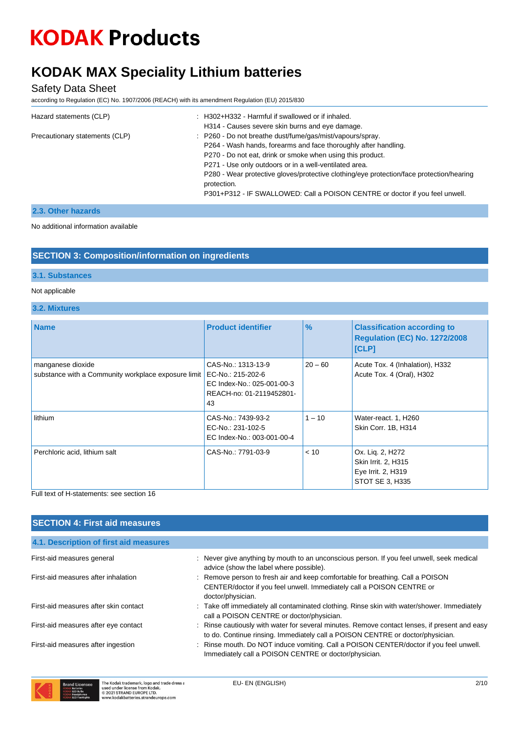# **KODAK MAX Speciality Lithium batteries**

Safety Data Sheet

according to Regulation (EC) No. 1907/2006 (REACH) with its amendment Regulation (EU) 2015/830

| Hazard statements (CLP)        | : H302+H332 - Harmful if swallowed or if inhaled.                                                       |  |  |
|--------------------------------|---------------------------------------------------------------------------------------------------------|--|--|
|                                | H314 - Causes severe skin burns and eye damage.                                                         |  |  |
| Precautionary statements (CLP) | : P260 - Do not breathe dust/fume/gas/mist/vapours/spray.                                               |  |  |
|                                | P264 - Wash hands, forearms and face thoroughly after handling.                                         |  |  |
|                                | P270 - Do not eat, drink or smoke when using this product.                                              |  |  |
|                                | P271 - Use only outdoors or in a well-ventilated area.                                                  |  |  |
|                                | P280 - Wear protective gloves/protective clothing/eye protection/face protection/hearing<br>protection. |  |  |
|                                | P301+P312 - IF SWALLOWED: Call a POISON CENTRE or doctor if you feel unwell.                            |  |  |

### **2.3. Other hazards**

No additional information available

### **SECTION 3: Composition/information on ingredients**

#### **3.1. Substances**

#### Not applicable

**3.2. Mixtures**

| <b>Name</b>                                                              | <b>Product identifier</b>                                                                               | $\frac{9}{6}$ | <b>Classification according to</b><br>Regulation (EC) No. 1272/2008<br>[CLP]     |
|--------------------------------------------------------------------------|---------------------------------------------------------------------------------------------------------|---------------|----------------------------------------------------------------------------------|
| manganese dioxide<br>substance with a Community workplace exposure limit | CAS-No.: 1313-13-9<br>EC-No.: 215-202-6<br>EC Index-No.: 025-001-00-3<br>REACH-no: 01-2119452801-<br>43 | $20 - 60$     | Acute Tox. 4 (Inhalation), H332<br>Acute Tox. 4 (Oral), H302                     |
| lithium                                                                  | CAS-No.: 7439-93-2<br>EC-No.: 231-102-5<br>EC Index-No.: 003-001-00-4                                   | $1 - 10$      | Water-react. 1, H260<br>Skin Corr. 1B, H314                                      |
| Perchloric acid, lithium salt                                            | CAS-No.: 7791-03-9                                                                                      | < 10          | Ox. Lig. 2, H272<br>Skin Irrit. 2, H315<br>Eye Irrit. 2, H319<br>STOT SE 3, H335 |

#### Full text of H-statements: see section 16

| <b>SECTION 4: First aid measures</b>   |                                                                                                                                                                                 |
|----------------------------------------|---------------------------------------------------------------------------------------------------------------------------------------------------------------------------------|
| 4.1. Description of first aid measures |                                                                                                                                                                                 |
| First-aid measures general             | : Never give anything by mouth to an unconscious person. If you feel unwell, seek medical<br>advice (show the label where possible).                                            |
| First-aid measures after inhalation    | : Remove person to fresh air and keep comfortable for breathing. Call a POISON<br>CENTER/doctor if you feel unwell. Immediately call a POISON CENTRE or<br>doctor/physician.    |
| First-aid measures after skin contact  | : Take off immediately all contaminated clothing. Rinse skin with water/shower. Immediately<br>call a POISON CENTRE or doctor/physician.                                        |
| First-aid measures after eye contact   | : Rinse cautiously with water for several minutes. Remove contact lenses, if present and easy<br>to do. Continue rinsing. Immediately call a POISON CENTRE or doctor/physician. |
| First-aid measures after ingestion     | : Rinse mouth. Do NOT induce vomiting. Call a POISON CENTER/doctor if you feel unwell.<br>Immediately call a POISON CENTRE or doctor/physician.                                 |

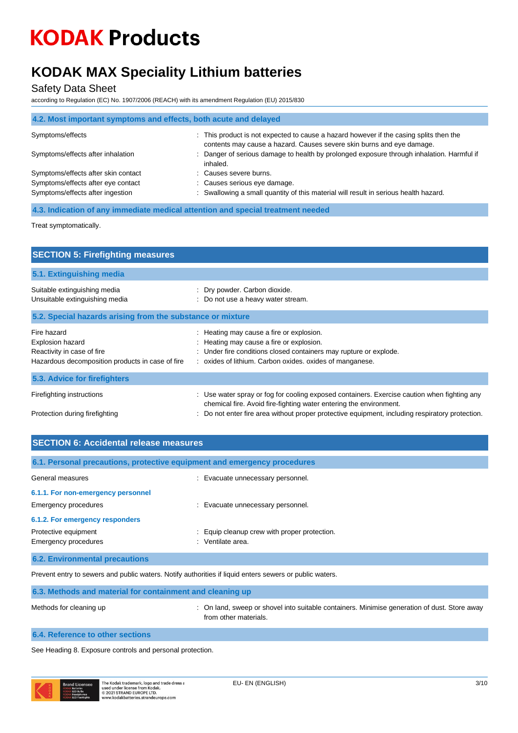# **KODAK MAX Speciality Lithium batteries**

Safety Data Sheet

according to Regulation (EC) No. 1907/2006 (REACH) with its amendment Regulation (EU) 2015/830

| 4.2. Most important symptoms and effects, both acute and delayed |                                                                                                                                                                 |  |  |  |
|------------------------------------------------------------------|-----------------------------------------------------------------------------------------------------------------------------------------------------------------|--|--|--|
| Symptoms/effects                                                 | : This product is not expected to cause a hazard however if the casing splits then the<br>contents may cause a hazard. Causes severe skin burns and eye damage. |  |  |  |
| Symptoms/effects after inhalation                                | : Danger of serious damage to health by prolonged exposure through inhalation. Harmful if<br>inhaled.                                                           |  |  |  |
| Symptoms/effects after skin contact                              | : Causes severe burns.                                                                                                                                          |  |  |  |
| Symptoms/effects after eye contact                               | : Causes serious eye damage.                                                                                                                                    |  |  |  |
| Symptoms/effects after ingestion                                 | : Swallowing a small quantity of this material will result in serious health hazard.                                                                            |  |  |  |

**4.3. Indication of any immediate medical attention and special treatment needed**

Treat symptomatically.

| <b>SECTION 5: Firefighting measures</b>                                                                                                                                                                                                                              |  |  |  |
|----------------------------------------------------------------------------------------------------------------------------------------------------------------------------------------------------------------------------------------------------------------------|--|--|--|
|                                                                                                                                                                                                                                                                      |  |  |  |
| : Dry powder. Carbon dioxide.<br>: Do not use a heavy water stream.                                                                                                                                                                                                  |  |  |  |
| 5.2. Special hazards arising from the substance or mixture                                                                                                                                                                                                           |  |  |  |
| : Heating may cause a fire or explosion.<br>: Heating may cause a fire or explosion.<br>: Under fire conditions closed containers may rupture or explode.<br>: oxides of lithium. Carbon oxides. oxides of manganese.                                                |  |  |  |
|                                                                                                                                                                                                                                                                      |  |  |  |
| : Use water spray or fog for cooling exposed containers. Exercise caution when fighting any<br>chemical fire. Avoid fire-fighting water entering the environment.<br>: Do not enter fire area without proper protective equipment, including respiratory protection. |  |  |  |
|                                                                                                                                                                                                                                                                      |  |  |  |

| <b>SECTION 6: Accidental release measures</b> |                                                                          |  |
|-----------------------------------------------|--------------------------------------------------------------------------|--|
|                                               | 6.1. Personal precautions, protective equipment and emergency procedures |  |
| General measures                              | : Evacuate unnecessary personnel.                                        |  |
| 6.1.1. For non-emergency personnel            |                                                                          |  |
| Emergency procedures                          | : Evacuate unnecessary personnel.                                        |  |
| 6.1.2. For emergency responders               |                                                                          |  |
| Protective equipment                          | : Equip cleanup crew with proper protection.                             |  |
| Emergency procedures                          | : Ventilate area.                                                        |  |
| <b>6.2. Environmental precautions</b>         |                                                                          |  |

Prevent entry to sewers and public waters. Notify authorities if liquid enters sewers or public waters.

| 6.3. Methods and material for containment and cleaning up |                                                                                                                       |  |  |
|-----------------------------------------------------------|-----------------------------------------------------------------------------------------------------------------------|--|--|
| Methods for cleaning up                                   | : On land, sweep or shovel into suitable containers. Minimise generation of dust. Store away<br>from other materials. |  |  |
| 6.4. Reference to other sections                          |                                                                                                                       |  |  |

See Heading 8. Exposure controls and personal protection.

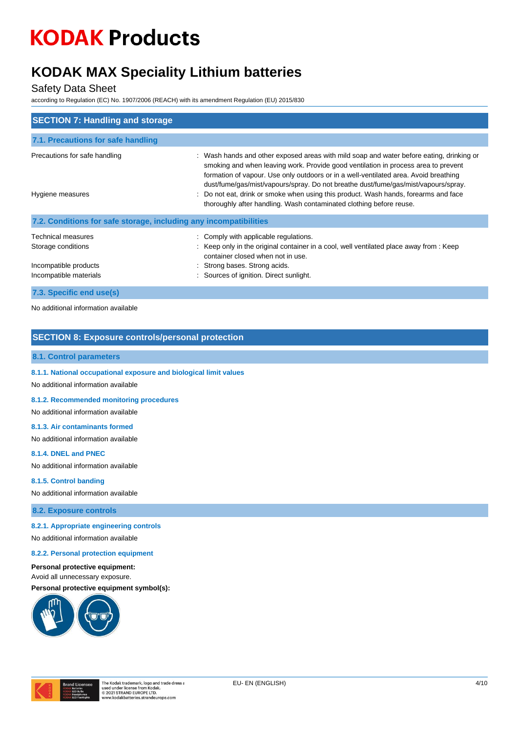## **KODAK MAX Speciality Lithium batteries**

#### Safety Data Sheet

according to Regulation (EC) No. 1907/2006 (REACH) with its amendment Regulation (EU) 2015/830

| <b>SECTION 7: Handling and storage</b>                                                             |                                                                                                                                                                                                                                                                                                                                                                                                                                                                                                                          |
|----------------------------------------------------------------------------------------------------|--------------------------------------------------------------------------------------------------------------------------------------------------------------------------------------------------------------------------------------------------------------------------------------------------------------------------------------------------------------------------------------------------------------------------------------------------------------------------------------------------------------------------|
| 7.1. Precautions for safe handling                                                                 |                                                                                                                                                                                                                                                                                                                                                                                                                                                                                                                          |
| Precautions for safe handling<br>Hygiene measures                                                  | : Wash hands and other exposed areas with mild soap and water before eating, drinking or<br>smoking and when leaving work. Provide good ventilation in process area to prevent<br>formation of vapour. Use only outdoors or in a well-ventilated area. Avoid breathing<br>dust/fume/gas/mist/vapours/spray. Do not breathe dust/fume/gas/mist/vapours/spray.<br>Do not eat, drink or smoke when using this product. Wash hands, forearms and face<br>thoroughly after handling. Wash contaminated clothing before reuse. |
| 7.2. Conditions for safe storage, including any incompatibilities                                  |                                                                                                                                                                                                                                                                                                                                                                                                                                                                                                                          |
| <b>Technical measures</b><br>Storage conditions<br>Incompatible products<br>Incompatible materials | : Comply with applicable regulations.<br>: Keep only in the original container in a cool, well ventilated place away from : Keep<br>container closed when not in use.<br>: Strong bases. Strong acids.<br>: Sources of ignition. Direct sunlight.                                                                                                                                                                                                                                                                        |
| 7.3. Specific end use(s)                                                                           |                                                                                                                                                                                                                                                                                                                                                                                                                                                                                                                          |

No additional information available

### **SECTION 8: Exposure controls/personal protection**

#### **8.1. Control parameters**

**8.1.1. National occupational exposure and biological limit values**

No additional information available

#### **8.1.2. Recommended monitoring procedures**

No additional information available

#### **8.1.3. Air contaminants formed**

No additional information available

#### **8.1.4. DNEL and PNEC**

No additional information available

#### **8.1.5. Control banding**

No additional information available

**8.2. Exposure controls**

#### **8.2.1. Appropriate engineering controls**

No additional information available

#### **8.2.2. Personal protection equipment**

#### **Personal protective equipment:** Avoid all unnecessary exposure.





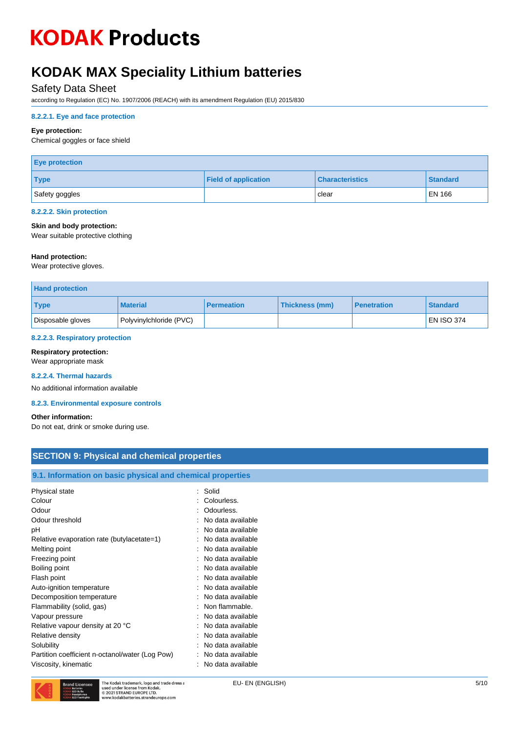## **KODAK MAX Speciality Lithium batteries**

### Safety Data Sheet

according to Regulation (EC) No. 1907/2006 (REACH) with its amendment Regulation (EU) 2015/830

#### **8.2.2.1. Eye and face protection**

#### **Eye protection:**

Chemical goggles or face shield

| <b>Eye protection</b> |                             |                        |                 |  |
|-----------------------|-----------------------------|------------------------|-----------------|--|
| <b>Type</b>           | <b>Field of application</b> | <b>Characteristics</b> | <b>Standard</b> |  |
| Safety goggles        |                             | clear                  | <b>EN 166</b>   |  |

#### **8.2.2.2. Skin protection**

#### **Skin and body protection:**

Wear suitable protective clothing

#### **Hand protection:**

Wear protective gloves.

| <b>Hand protection</b> |                         |                   |                       |                    |                   |
|------------------------|-------------------------|-------------------|-----------------------|--------------------|-------------------|
| <b>Type</b>            | <b>Material</b>         | <b>Permeation</b> | <b>Thickness (mm)</b> | <b>Penetration</b> | <b>Standard</b>   |
| Disposable gloves      | Polyvinylchloride (PVC) |                   |                       |                    | <b>EN ISO 374</b> |

#### **8.2.2.3. Respiratory protection**

#### **Respiratory protection:**

Wear appropriate mask

#### **8.2.2.4. Thermal hazards**

No additional information available

#### **8.2.3. Environmental exposure controls**

#### **Other information:**

Do not eat, drink or smoke during use.

### **SECTION 9: Physical and chemical properties**

| 9.1. Information on basic physical and chemical properties |                   |
|------------------------------------------------------------|-------------------|
| Physical state                                             | Solid             |
|                                                            | Colourless.       |
| Colour                                                     |                   |
| Odour                                                      | Odourless.        |
| Odour threshold                                            | No data available |
| рH                                                         | No data available |
| Relative evaporation rate (butylacetate=1)                 | No data available |
| Melting point                                              | No data available |
| Freezing point                                             | No data available |
| Boiling point                                              | No data available |
| Flash point                                                | No data available |
| Auto-ignition temperature                                  | No data available |
| Decomposition temperature                                  | No data available |
| Flammability (solid, gas)                                  | Non flammable.    |
| Vapour pressure                                            | No data available |
| Relative vapour density at 20 °C                           | No data available |
| Relative density                                           | No data available |
| Solubility                                                 | No data available |
| Partition coefficient n-octanol/water (Log Pow)            | No data available |
| Viscosity, kinematic                                       | No data available |

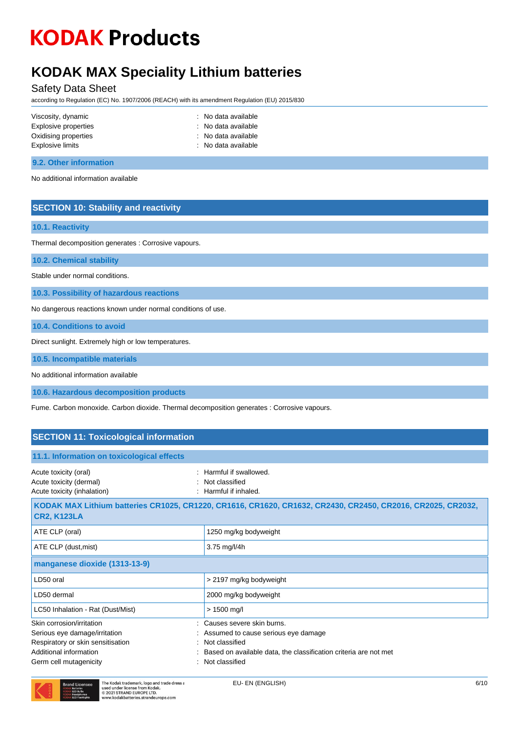## **KODAK MAX Speciality Lithium batteries**

Safety Data Sheet

according to Regulation (EC) No. 1907/2006 (REACH) with its amendment Regulation (EU) 2015/830

| Viscosity, dynamic   | : No data available |
|----------------------|---------------------|
| Explosive properties | : No data available |
| Oxidising properties | : No data available |
| Explosive limits     | : No data available |
|                      |                     |

#### **9.2. Other information**

No additional information available

### **SECTION 10: Stability and reactivity**

#### **10.1. Reactivity**

Thermal decomposition generates : Corrosive vapours.

**10.2. Chemical stability**

Stable under normal conditions.

**10.3. Possibility of hazardous reactions**

No dangerous reactions known under normal conditions of use.

**10.4. Conditions to avoid**

Direct sunlight. Extremely high or low temperatures.

**10.5. Incompatible materials**

No additional information available

**10.6. Hazardous decomposition products**

Fume. Carbon monoxide. Carbon dioxide. Thermal decomposition generates : Corrosive vapours.

### **SECTION 11: Toxicological information**

| 11.1. Information on toxicological effects                                                                                                          |                                                                                                                                                                              |
|-----------------------------------------------------------------------------------------------------------------------------------------------------|------------------------------------------------------------------------------------------------------------------------------------------------------------------------------|
| Acute toxicity (oral)<br>Acute toxicity (dermal)<br>Acute toxicity (inhalation)                                                                     | $\therefore$ Harmful if swallowed.<br>Not classified<br>Harmful if inhaled.                                                                                                  |
| <b>CR2, K123LA</b>                                                                                                                                  | KODAK MAX Lithium batteries CR1025, CR1220, CR1616, CR1620, CR1632, CR2430, CR2450, CR2016, CR2025, CR2032,                                                                  |
| ATE CLP (oral)                                                                                                                                      | 1250 mg/kg bodyweight                                                                                                                                                        |
| ATE CLP (dust, mist)                                                                                                                                | 3.75 mg/l/4h                                                                                                                                                                 |
| manganese dioxide (1313-13-9)                                                                                                                       |                                                                                                                                                                              |
| LD50 oral                                                                                                                                           | > 2197 mg/kg bodyweight                                                                                                                                                      |
| LD50 dermal                                                                                                                                         | 2000 mg/kg bodyweight                                                                                                                                                        |
| LC50 Inhalation - Rat (Dust/Mist)                                                                                                                   | $> 1500$ mg/l                                                                                                                                                                |
| Skin corrosion/irritation<br>Serious eye damage/irritation<br>Respiratory or skin sensitisation<br>Additional information<br>Germ cell mutagenicity | : Causes severe skin burns.<br>: Assumed to cause serious eye damage<br>Not classified<br>Based on available data, the classification criteria are not met<br>Not classified |

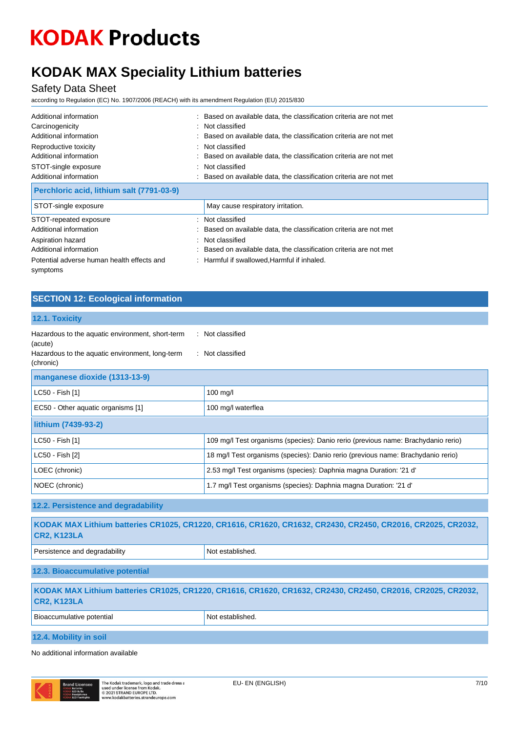## **KODAK MAX Speciality Lithium batteries**

Safety Data Sheet

symptoms

according to Regulation (EC) No. 1907/2006 (REACH) with its amendment Regulation (EU) 2015/830

| Additional information<br>Carcinogenicity<br>Additional information<br>Reproductive toxicity<br>Additional information<br>STOT-single exposure<br>Additional information | : Based on available data, the classification criteria are not met<br>: Not classified<br>: Based on available data, the classification criteria are not met<br>: Not classified<br>: Based on available data, the classification criteria are not met<br>: Not classified<br>: Based on available data, the classification criteria are not met |
|--------------------------------------------------------------------------------------------------------------------------------------------------------------------------|--------------------------------------------------------------------------------------------------------------------------------------------------------------------------------------------------------------------------------------------------------------------------------------------------------------------------------------------------|
| Perchloric acid, lithium salt (7791-03-9)                                                                                                                                |                                                                                                                                                                                                                                                                                                                                                  |
| STOT-single exposure                                                                                                                                                     | May cause respiratory irritation.                                                                                                                                                                                                                                                                                                                |
| STOT-repeated exposure<br>Additional information                                                                                                                         | : Not classified<br>: Based on available data, the classification criteria are not met                                                                                                                                                                                                                                                           |
| Aspiration hazard<br>Additional information                                                                                                                              | : Not classified<br>: Based on available data, the classification criteria are not met                                                                                                                                                                                                                                                           |
| Potential adverse human health effects and                                                                                                                               | : Harmful if swallowed, Harmful if inhaled.                                                                                                                                                                                                                                                                                                      |

### **SECTION 12: Ecological information**

| 12.1. Toxicity                                                                                                              |                                                                                                             |  |
|-----------------------------------------------------------------------------------------------------------------------------|-------------------------------------------------------------------------------------------------------------|--|
| Hazardous to the aquatic environment, short-term<br>(acute)<br>Hazardous to the aquatic environment, long-term<br>(chronic) | : Not classified<br>: Not classified                                                                        |  |
|                                                                                                                             |                                                                                                             |  |
| manganese dioxide (1313-13-9)                                                                                               |                                                                                                             |  |
| LC50 - Fish [1]                                                                                                             | $100$ mg/l                                                                                                  |  |
| EC50 - Other aquatic organisms [1]                                                                                          | 100 mg/l waterflea                                                                                          |  |
| lithium (7439-93-2)                                                                                                         |                                                                                                             |  |
| LC50 - Fish [1]                                                                                                             | 109 mg/l Test organisms (species): Danio rerio (previous name: Brachydanio rerio)                           |  |
| LC50 - Fish [2]                                                                                                             | 18 mg/l Test organisms (species): Danio rerio (previous name: Brachydanio rerio)                            |  |
| LOEC (chronic)                                                                                                              | 2.53 mg/l Test organisms (species): Daphnia magna Duration: '21 d'                                          |  |
| NOEC (chronic)                                                                                                              | 1.7 mg/l Test organisms (species): Daphnia magna Duration: '21 d'                                           |  |
| 12.2. Persistence and degradability                                                                                         |                                                                                                             |  |
| <b>CR2, K123LA</b>                                                                                                          | KODAK MAX Lithium batteries CR1025, CR1220, CR1616, CR1620, CR1632, CR2430, CR2450, CR2016, CR2025, CR2032, |  |
| Persistence and degradability                                                                                               | Not established.                                                                                            |  |
| 12.3. Bioaccumulative potential                                                                                             |                                                                                                             |  |
| <b>CR2, K123LA</b>                                                                                                          | KODAK MAX Lithium batteries CR1025, CR1220, CR1616, CR1620, CR1632, CR2430, CR2450, CR2016, CR2025, CR2032, |  |
| Bioaccumulative potential                                                                                                   | Not established.                                                                                            |  |
| 12.4. Mobility in soil                                                                                                      |                                                                                                             |  |

No additional information available

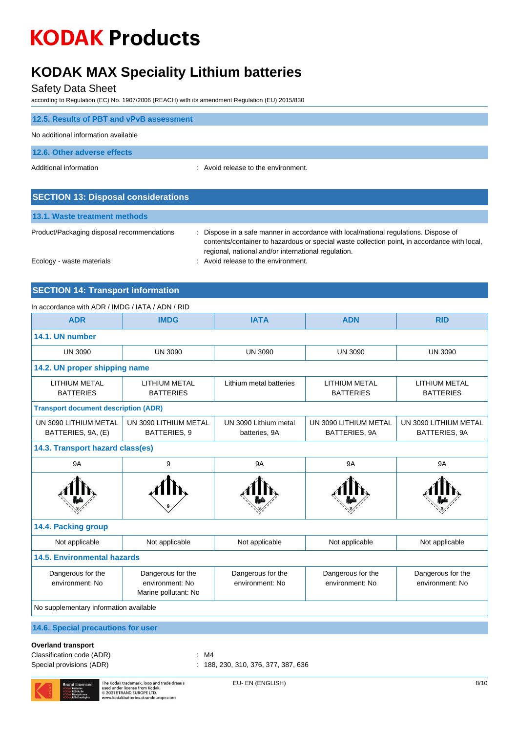## **KODAK MAX Speciality Lithium batteries**

Safety Data Sheet

according to Regulation (EC) No. 1907/2006 (REACH) with its amendment Regulation (EU) 2015/830

| 12.5. Results of PBT and vPvB assessment   |                                     |
|--------------------------------------------|-------------------------------------|
| No additional information available        |                                     |
| 12.6. Other adverse effects                |                                     |
| Additional information                     | : Avoid release to the environment. |
|                                            |                                     |
| <b>SECTION 13: Disposal considerations</b> |                                     |

|--|

Product/Packaging disposal recommendations : Dispose in a safe manner in accordance with local/national regulations. Dispose of contents/container to hazardous or special waste collection point, in accordance with local, regional, national and/or international regulation.

Ecology - waste materials **Ecology** - waste materials **interval** and  $\overline{a}$  and  $\overline{b}$  and  $\overline{c}$  and  $\overline{d}$  are  $\overline{c}$  and  $\overline{a}$  are  $\overline{a}$  and  $\overline{a}$  are  $\overline{a}$  are  $\overline{a}$  and  $\overline{a}$  are  $\overline{a}$  a

### **SECTION 14: Transport information**

#### In accordance with ADR / IMDG / IATA / ADN / RID

| <b>ADR</b>                                  | <b>IMDG</b>                                                  | <b>IATA</b>                            | <b>ADN</b>                               | <b>RID</b>                               |
|---------------------------------------------|--------------------------------------------------------------|----------------------------------------|------------------------------------------|------------------------------------------|
| 14.1. UN number                             |                                                              |                                        |                                          |                                          |
| <b>UN 3090</b>                              | <b>UN 3090</b>                                               | <b>UN 3090</b>                         | <b>UN 3090</b>                           | <b>UN 3090</b>                           |
| 14.2. UN proper shipping name               |                                                              |                                        |                                          |                                          |
| LITHIUM METAL<br><b>BATTERIES</b>           | <b>LITHIUM METAL</b><br><b>BATTERIES</b>                     | Lithium metal batteries                | <b>LITHIUM METAL</b><br><b>BATTERIES</b> | <b>LITHIUM METAL</b><br><b>BATTERIES</b> |
| <b>Transport document description (ADR)</b> |                                                              |                                        |                                          |                                          |
| UN 3090 LITHIUM METAL<br>BATTERIES, 9A, (E) | UN 3090 LITHIUM METAL<br>BATTERIES, 9                        | UN 3090 Lithium metal<br>batteries, 9A | UN 3090 LITHIUM METAL<br>BATTERIES, 9A   | UN 3090 LITHIUM METAL<br>BATTERIES, 9A   |
| 14.3. Transport hazard class(es)            |                                                              |                                        |                                          |                                          |
| <b>9A</b>                                   | 9                                                            | <b>9A</b>                              | <b>9A</b>                                | <b>9A</b>                                |
|                                             |                                                              |                                        |                                          |                                          |
| 14.4. Packing group                         |                                                              |                                        |                                          |                                          |
| Not applicable                              | Not applicable                                               | Not applicable                         | Not applicable                           | Not applicable                           |
| <b>14.5. Environmental hazards</b>          |                                                              |                                        |                                          |                                          |
| Dangerous for the<br>environment: No        | Dangerous for the<br>environment: No<br>Marine pollutant: No | Dangerous for the<br>environment: No   | Dangerous for the<br>environment: No     | Dangerous for the<br>environment: No     |
| No supplementary information available      |                                                              |                                        |                                          |                                          |
| 14.6. Special precautions for user          |                                                              |                                        |                                          |                                          |

#### **Overland transport**

Classification code (ADR) : M4

Special provisions (ADR) : 188, 230, 310, 376, 377, 387, 636

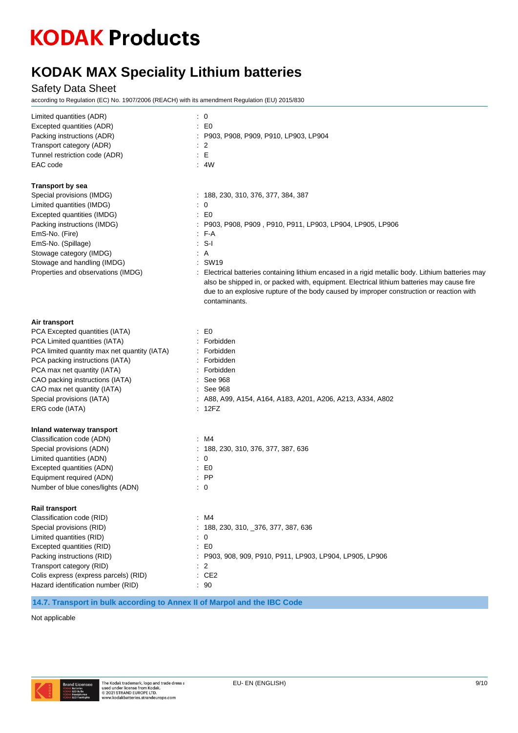## **KODAK MAX Speciality Lithium batteries**

Safety Data Sheet

according to Regulation (EC) No. 1907/2006 (REACH) with its amendment Regulation (EU) 2015/830

| Limited quantities (ADR)<br>Excepted quantities (ADR)<br>Packing instructions (ADR)<br>Transport category (ADR)<br>Tunnel restriction code (ADR)<br>EAC code                                                                                                                                                         | $\therefore$ 0<br>$\pm 50$<br>: P903, P908, P909, P910, LP903, LP904<br>$\therefore$ 2<br>$\therefore$ E<br>$\therefore$ 4W                                                                                                                                                                                                                                                                                                                                                          |
|----------------------------------------------------------------------------------------------------------------------------------------------------------------------------------------------------------------------------------------------------------------------------------------------------------------------|--------------------------------------------------------------------------------------------------------------------------------------------------------------------------------------------------------------------------------------------------------------------------------------------------------------------------------------------------------------------------------------------------------------------------------------------------------------------------------------|
| <b>Transport by sea</b><br>Special provisions (IMDG)<br>Limited quantities (IMDG)<br>Excepted quantities (IMDG)<br>Packing instructions (IMDG)<br>EmS-No. (Fire)<br>EmS-No. (Spillage)<br>Stowage category (IMDG)<br>Stowage and handling (IMDG)<br>Properties and observations (IMDG)                               | : 188, 230, 310, 376, 377, 384, 387<br>$\therefore$ 0<br>$\pm 50$<br>: P903, P908, P909, P910, P911, LP903, LP904, LP905, LP906<br>: F-A<br>$: S-I$<br>: A<br>: SW19<br>: Electrical batteries containing lithium encased in a rigid metallic body. Lithium batteries may<br>also be shipped in, or packed with, equipment. Electrical lithium batteries may cause fire<br>due to an explosive rupture of the body caused by improper construction or reaction with<br>contaminants. |
| Air transport<br>PCA Excepted quantities (IATA)<br>PCA Limited quantities (IATA)<br>PCA limited quantity max net quantity (IATA)<br>PCA packing instructions (IATA)<br>PCA max net quantity (IATA)<br>CAO packing instructions (IATA)<br>CAO max net quantity (IATA)<br>Special provisions (IATA)<br>ERG code (IATA) | $\therefore$ EO<br>: Forbidden<br>: Forbidden<br>: Forbidden<br>: Forbidden<br>: See 968<br>: See 968<br>$:$ A88, A99, A154, A164, A183, A201, A206, A213, A334, A802<br>: 12FZ                                                                                                                                                                                                                                                                                                      |
| Inland waterway transport<br>Classification code (ADN)<br>Special provisions (ADN)<br>Limited quantities (ADN)<br>Excepted quantities (ADN)<br>Equipment required (ADN)<br>Number of blue cones/lights (ADN)                                                                                                         | : M4<br>: 188, 230, 310, 376, 377, 387, 636<br>$\therefore$ 0<br>$\pm 50$<br>$\therefore$ PP<br>$\therefore$ 0                                                                                                                                                                                                                                                                                                                                                                       |
| Rail transport<br>Classification code (RID)<br>Special provisions (RID)<br>Limited quantities (RID)<br>Excepted quantities (RID)<br>Packing instructions (RID)<br>Transport category (RID)<br>Colis express (express parcels) (RID)<br>Hazard identification number (RID)                                            | : M4<br>: 188, 230, 310, _376, 377, 387, 636<br>$\colon 0$<br>$\therefore$ EO<br>: P903, 908, 909, P910, P911, LP903, LP904, LP905, LP906<br>$\therefore$ 2<br>: CE2<br>$\cdot$ 90                                                                                                                                                                                                                                                                                                   |

**14.7. Transport in bulk according to Annex II of Marpol and the IBC Code**

Not applicable